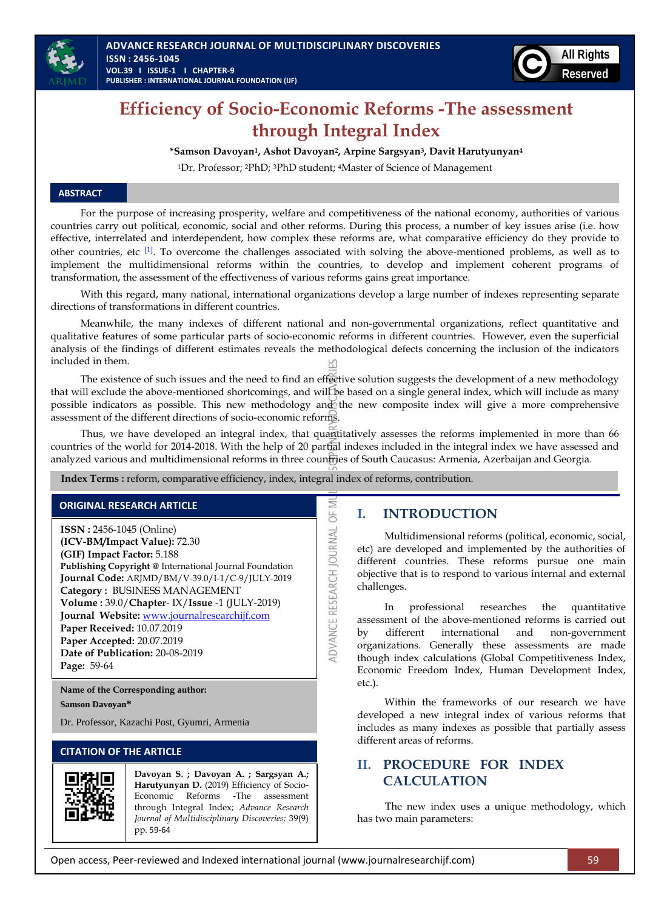



# **Efficiency of Socio-Economic Reforms -The assessment through Integral Index**

### **\*Samson Davoyan1, Ashot Davoyan2, Arpine Sargsyan3, Davit Harutyunyan<sup>4</sup>**

<sup>1</sup>Dr. Professor; <sup>2</sup>PhD; <sup>3</sup>PhD student; <sup>4</sup>Master of Science of Management

#### **ABSTRACT**

For the purpose of increasing prosperity, welfare and competitiveness of the national economy, authorities of various countries carry out political, economic, social and other reforms. During this process, a number of key issues arise (i.e. how effective, interrelated and interdependent, how complex these reforms are, what comparative efficiency do they provide to other countries, etc [\[1\]](#page-5-0). To overcome the challenges associated with solving the above-mentioned problems, as well as to implement the multidimensional reforms within the countries, to develop and implement coherent programs of transformation, the assessment of the effectiveness of various reforms gains great importance.

With this regard, many national, international organizations develop a large number of indexes representing separate directions of transformations in different countries.

Meanwhile, the many indexes of different national and non-governmental organizations, reflect quantitative and qualitative features of some particular parts of socio-economic reforms in different countries. However, even the superficial analysis of the findings of different estimates reveals the methodological defects concerning the inclusion of the indicators included in them.

The existence of such issues and the need to find an effective solution suggests the development of a new methodology that will exclude the above-mentioned shortcomings, and will be based on a single general index, which will include as many possible indicators as possible. This new methodology and the new composite index will give a more comprehensive assessment of the different directions of socio-economic reforms.

Thus, we have developed an integral index, that quantitatively assesses the reforms implemented in more than 66 countries of the world for 2014-2018. With the help of 20 partial indexes included in the integral index we have assessed and analyzed various and multidimensional reforms in three countries of South Caucasus: Armenia, Azerbaijan and Georgia.

> Ξ 5

ADVANCE RESEARCH JOURNAL

 **Index Terms :** reform, comparative efficiency, index, integral index of reforms, contribution.

### **ORIGINAL RESEARCH ARTICLE**

**ISSN :** 2456-1045 (Online) **(ICV-BM/Impact Value):** 72.30 **(GIF) Impact Factor:** 5.188 **Publishing Copyright @** International Journal Foundation **Journal Code:** ARJMD/BM/V-39.0/I-1/C-9/JULY-2019 **Category :** BUSINESS MANAGEMENT **Volume :** 39.0/**Chapter**- IX/**Issue** -1 (JULY-2019) **Journal Website:** [www.journalresearchijf.com](http://www.journalresearchijf.com/) **Paper Received:** 10.07.2019 **Paper Accepted:** 20.07.2019 **Date of Publication:** 20-08-2019 **Page:** 59-64

**Name of the Corresponding author: Samson Davoyan\***

Dr. Professor, Kazachi Post, Gyumri, Armenia

# **CITATION OF THE ARTICLE**



**Davoyan S. ; Davoyan A. ; Sargsyan A.; Harutyunyan D.** (2019) Efficiency of Socio-Economic Reforms -The assessment through Integral Index; *Advance Research Journal of Multidisciplinary Discoveries;* 39(9) pp. 59-64

# **I. INTRODUCTION**

Multidimensional reforms (political, economic, social, etc) are developed and implemented by the authorities of different countries. These reforms pursue one main objective that is to respond to various internal and external challenges.

In professional researches the quantitative assessment of the above-mentioned reforms is carried out by different international and non-government organizations. Generally these assessments are made though index calculations (Global Competitiveness Index, Economic Freedom Index, Human Development Index, etc.).

Within the frameworks of our research we have developed a new integral index of various reforms that includes as many indexes as possible that partially assess different areas of reforms.

# **II. PROCEDURE FOR INDEX CALCULATION**

The new index uses a unique methodology, which has two main parameters: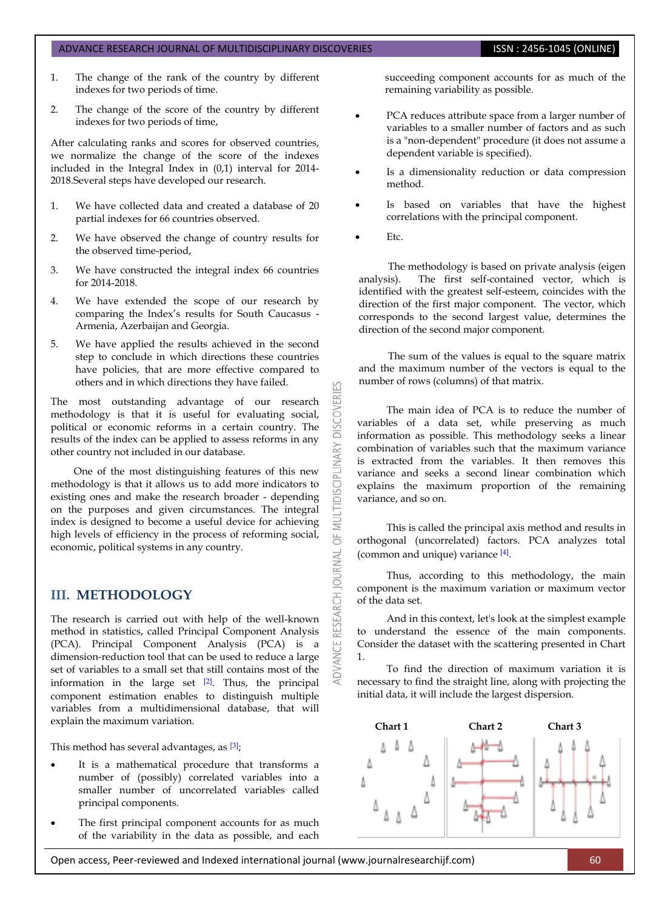#### ADVANCE RESEARCH JOURNAL OF MULTIDISCIPLINARY DISCOVERIES **ISSN : 2456-1045 (ONLINE)**

- 1. The change of the rank of the country by different indexes for two periods of time.
- 2. The change of the score of the country by different indexes for two periods of time,

After calculating ranks and scores for observed countries, we normalize the change of the score of the indexes included in the Integral Index in (0,1) interval for 2014- 2018.Several steps have developed our research.

- 1. We have collected data and created a database of 20 partial indexes for 66 countries observed.
- 2. We have observed the change of country results for the observed time-period,
- 3. We have constructed the integral index 66 countries for 2014-2018.
- 4. We have extended the scope of our research by comparing the Index's results for South Caucasus - Armenia, Azerbaijan and Georgia.
- 5. We have applied the results achieved in the second step to conclude in which directions these countries have policies, that are more effective compared to others and in which directions they have failed.

The most outstanding advantage of our research methodology is that it is useful for evaluating social, political or economic reforms in a certain country. The results of the index can be applied to assess reforms in any other country not included in our database.

One of the most distinguishing features of this new methodology is that it allows us to add more indicators to existing ones and make the research broader - depending on the purposes and given circumstances. The integral index is designed to become a useful device for achieving high levels of efficiency in the process of reforming social, economic, political systems in any country.

# **III. METHODOLOGY**

The research is carried out with help of the well-known method in statistics, called Principal Component Analysis (PCA). Principal Component Analysis (PCA) is a dimension-reduction tool that can be used to reduce a large set of variables to a small set that still contains most of the information in the large set  $[2]$ . Thus, the principal component estimation enables to distinguish multiple variables from a multidimensional database, that will explain the maximum variation.

This method has several advantages, as  $[3]$ ;

- It is a mathematical procedure that transforms a number of (possibly) correlated variables into a smaller number of uncorrelated variables called principal components.
- The first principal component accounts for as much of the variability in the data as possible, and each

succeeding component accounts for as much of the remaining variability as possible.

- PCA reduces attribute space from a larger number of variables to a smaller number of factors and as such is a "non-dependent" procedure (it does not assume a dependent variable is specified).
- Is a dimensionality reduction or data compression method.
- Is based on variables that have the highest correlations with the principal component.
- Etc.

53

**DISCOVERI** 

MULTIDISCIPLINARY

5F

RESEARCH JOURNAL

ADVANCE

The methodology is based on private analysis (eigen analysis). The first self-contained vector, which is identified with the greatest self-esteem, coincides with the direction of the first major component. The vector, which corresponds to the second largest value, determines the direction of the second major component.

The sum of the values is equal to the square matrix and the maximum number of the vectors is equal to the number of rows (columns) of that matrix.

The main idea of PCA is to reduce the number of variables of a data set, while preserving as much information as possible. This methodology seeks a linear combination of variables such that the maximum variance is extracted from the variables. It then removes this variance and seeks a second linear combination which explains the maximum proportion of the remaining variance, and so on.

This is called the principal axis method and results in orthogonal (uncorrelated) factors. PCA analyzes total (common and unique) variance [\[4\]](#page-5-3) .

Thus, according to this methodology, the main component is the maximum variation or maximum vector of the data set.

And in this context, let's look at the simplest example to understand the essence of the main components. Consider the dataset with the scattering presented in Chart 1.

To find the direction of maximum variation it is necessary to find the straight line, along with projecting the initial data, it will include the largest dispersion.



Open access, Peer-reviewed and Indexed international journal (www.journalresearchijf.com) 60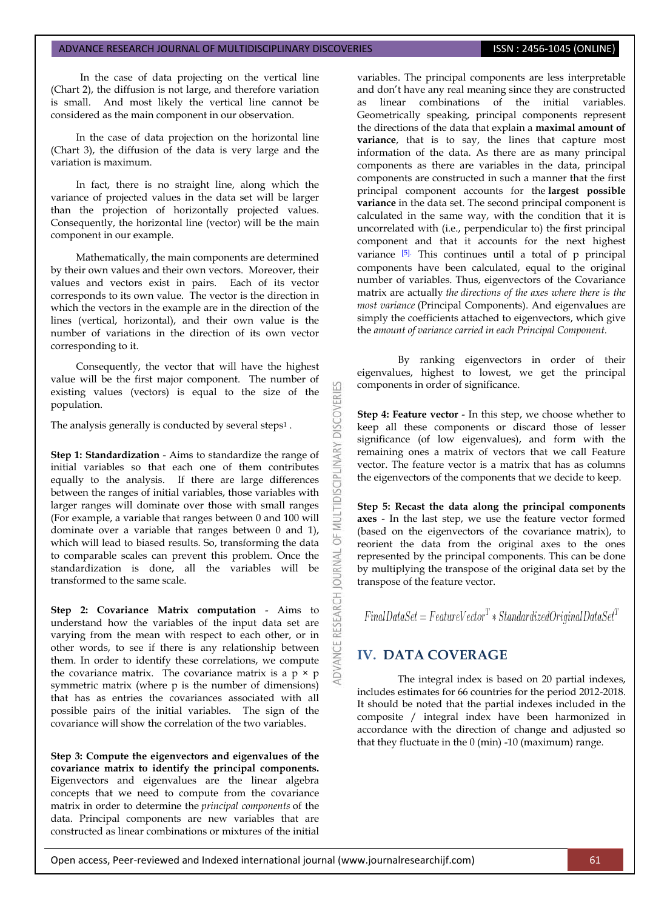In the case of data projecting on the vertical line (Chart 2), the diffusion is not large, and therefore variation is small. And most likely the vertical line cannot be considered as the main component in our observation.

In the case of data projection on the horizontal line (Chart 3), the diffusion of the data is very large and the variation is maximum.

In fact, there is no straight line, along which the variance of projected values in the data set will be larger than the projection of horizontally projected values. Consequently, the horizontal line (vector) will be the main component in our example.

Mathematically, the main components are determined by their own values and their own vectors. Moreover, their values and vectors exist in pairs. Each of its vector corresponds to its own value. The vector is the direction in which the vectors in the example are in the direction of the lines (vertical, horizontal), and their own value is the number of variations in the direction of its own vector corresponding to it.

Consequently, the vector that will have the highest value will be the first major component. The number of existing values (vectors) is equal to the size of the population.

The analysis generally is conducted by several steps<sup>1</sup>.

**Step 1: Standardization** - Aims to standardize the range of initial variables so that each one of them contributes equally to the analysis. If there are large differences between the ranges of initial variables, those variables with larger ranges will dominate over those with small ranges (For example, a variable that ranges between 0 and 100 will dominate over a variable that ranges between 0 and 1), which will lead to biased results. So, transforming the data to comparable scales can prevent this problem. Once the standardization is done, all the variables will be transformed to the same scale.

**Step 2: Covariance Matrix computation** - Aims to understand how the variables of the input data set are varying from the mean with respect to each other, or in other words, to see if there is any relationship between them. In order to identify these correlations, we compute the covariance matrix. The covariance matrix is a  $p \times p$ symmetric matrix (where p is the number of dimensions) that has as entries the covariances associated with all possible pairs of the initial variables. The sign of the covariance will show the correlation of the two variables.

**Step 3: Compute the eigenvectors and eigenvalues of the covariance matrix to identify the principal components.** Eigenvectors and eigenvalues are the linear algebra concepts that we need to compute from the covariance matrix in order to determine the *principal components* of the data. Principal components are new variables that are constructed as linear combinations or mixtures of the initial variables. The principal components are less interpretable and don't have any real meaning since they are constructed as linear combinations of the initial variables. Geometrically speaking, principal components represent the directions of the data that explain a **maximal amount of variance**, that is to say, the lines that capture most information of the data. As there are as many principal components as there are variables in the data, principal components are constructed in such a manner that the first principal component accounts for the **largest possible variance** in the data set. The second principal component is calculated in the same way, with the condition that it is uncorrelated with (i.e., perpendicular to) the first principal component and that it accounts for the next highest variance [\[5\].](#page-5-4) This continues until a total of p principal components have been calculated, equal to the original number of variables. Thus, eigenvectors of the Covariance matrix are actually *the directions of the axes where there is the most variance* (Principal Components). And eigenvalues are simply the coefficients attached to eigenvectors, which give the *amount of variance carried in each Principal Component*.

By ranking eigenvectors in order of their eigenvalues, highest to lowest, we get the principal components in order of significance.

**Step 4: Feature vector** - In this step, we choose whether to keep all these components or discard those of lesser significance (of low eigenvalues), and form with the remaining ones a matrix of vectors that we call Feature vector. The feature vector is a matrix that has as columns the eigenvectors of the components that we decide to keep.

**Step 5: Recast the data along the principal components axes** - In the last step, we use the feature vector formed (based on the eigenvectors of the covariance matrix), to reorient the data from the original axes to the ones represented by the principal components. This can be done by multiplying the transpose of the original data set by the transpose of the feature vector.

 $Final DataSet = FeatureVector<sup>T</sup> * Standardized Original DataSet<sup>T</sup>$ 

# **IV. DATA COVERAGE**

**DISCOVERI** 

**IDISCIPLI** 

5 **JRNAL** 5

ADVANCE

The integral index is based on 20 partial indexes, includes estimates for 66 countries for the period 2012-2018. It should be noted that the partial indexes included in the composite / integral index have been harmonized in accordance with the direction of change and adjusted so that they fluctuate in the 0 (min) -10 (maximum) range.

Open access, Peer-reviewed and Indexed international journal (www.journalresearchijf.com) 61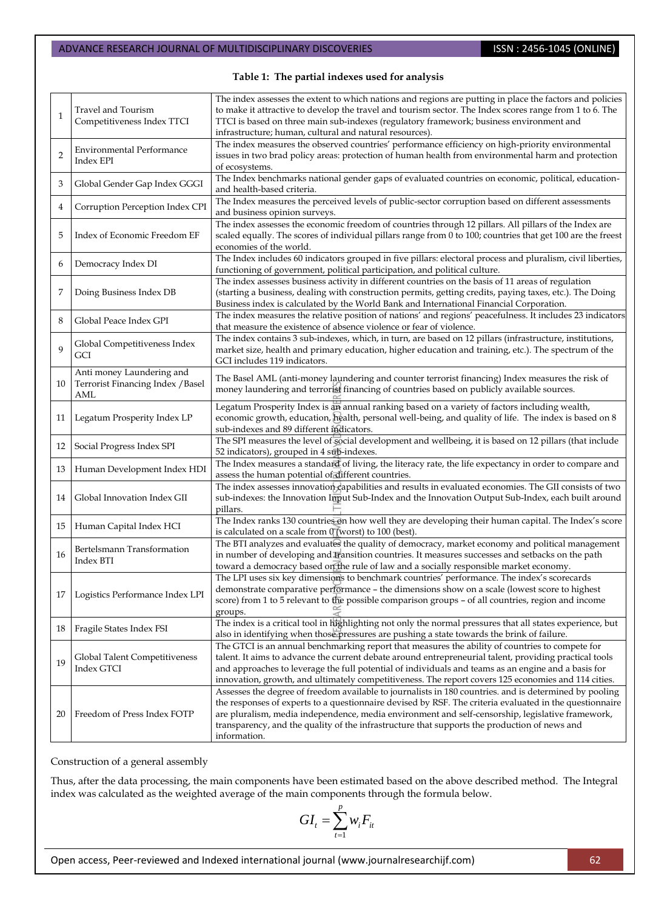#### **Table 1: The partial indexes used for analysis**

|                | Travel and Tourism                                                    | The index assesses the extent to which nations and regions are putting in place the factors and policies    |  |
|----------------|-----------------------------------------------------------------------|-------------------------------------------------------------------------------------------------------------|--|
| $\mathbf{1}$   |                                                                       | to make it attractive to develop the travel and tourism sector. The Index scores range from 1 to 6. The     |  |
|                | Competitiveness Index TTCI                                            | TTCI is based on three main sub-indexes (regulatory framework; business environment and                     |  |
|                |                                                                       | infrastructure; human, cultural and natural resources).                                                     |  |
| $\overline{2}$ |                                                                       | The index measures the observed countries' performance efficiency on high-priority environmental            |  |
|                | <b>Environmental Performance</b><br>Index EPI                         | issues in two brad policy areas: protection of human health from environmental harm and protection          |  |
|                |                                                                       | of ecosystems.                                                                                              |  |
|                |                                                                       | The Index benchmarks national gender gaps of evaluated countries on economic, political, education-         |  |
| 3              | Global Gender Gap Index GGGI                                          | and health-based criteria.                                                                                  |  |
|                | Corruption Perception Index CPI                                       | The Index measures the perceived levels of public-sector corruption based on different assessments          |  |
| 4              |                                                                       | and business opinion surveys.                                                                               |  |
| 5              | Index of Economic Freedom EF                                          | The index assesses the economic freedom of countries through 12 pillars. All pillars of the Index are       |  |
|                |                                                                       | scaled equally. The scores of individual pillars range from 0 to 100; countries that get 100 are the freest |  |
|                |                                                                       | economies of the world.                                                                                     |  |
|                |                                                                       | The Index includes 60 indicators grouped in five pillars: electoral process and pluralism, civil liberties, |  |
| 6              | Democracy Index DI                                                    | functioning of government, political participation, and political culture.                                  |  |
|                |                                                                       | The index assesses business activity in different countries on the basis of 11 areas of regulation          |  |
| 7              | Doing Business Index DB                                               | (starting a business, dealing with construction permits, getting credits, paying taxes, etc.). The Doing    |  |
|                |                                                                       | Business index is calculated by the World Bank and International Financial Corporation.                     |  |
|                |                                                                       | The index measures the relative position of nations' and regions' peacefulness. It includes 23 indicators   |  |
| 8              | Global Peace Index GPI                                                | that measure the existence of absence violence or fear of violence.                                         |  |
|                |                                                                       | The index contains 3 sub-indexes, which, in turn, are based on 12 pillars (infrastructure, institutions,    |  |
| $\mathbf Q$    | Global Competitiveness Index<br>GCI                                   | market size, health and primary education, higher education and training, etc.). The spectrum of the        |  |
|                |                                                                       | GCI includes 119 indicators.                                                                                |  |
|                |                                                                       |                                                                                                             |  |
|                | Anti money Laundering and<br>Terrorist Financing Index / Basel<br>AML | The Basel AML (anti-money laundering and counter terrorist financing) Index measures the risk of            |  |
| 10             |                                                                       | money laundering and terrorist financing of countries based on publicly available sources.                  |  |
|                |                                                                       |                                                                                                             |  |
|                | Legatum Prosperity Index LP                                           | Legatum Prosperity Index is an annual ranking based on a variety of factors including wealth,               |  |
| 11             |                                                                       | economic growth, education, health, personal well-being, and quality of life. The index is based on 8       |  |
|                |                                                                       | sub-indexes and 89 different indicators.                                                                    |  |
| 12             | Social Progress Index SPI                                             | The SPI measures the level of social development and wellbeing, it is based on 12 pillars (that include     |  |
|                |                                                                       | 52 indicators), grouped in 4 sub-indexes.                                                                   |  |
| 13             | Human Development Index HDI                                           | The Index measures a standard of living, the literacy rate, the life expectancy in order to compare and     |  |
|                |                                                                       | assess the human potential of different countries.                                                          |  |
|                | Global Innovation Index GII                                           | The index assesses innovation capabilities and results in evaluated economies. The GII consists of two      |  |
| 14             |                                                                       | sub-indexes: the Innovation Input Sub-Index and the Innovation Output Sub-Index, each built around          |  |
|                |                                                                       | pillars.                                                                                                    |  |
| 15             | Human Capital Index HCI                                               | The Index ranks 130 countries on how well they are developing their human capital. The Index's score        |  |
|                |                                                                       | is calculated on a scale from 0 (worst) to 100 (best).                                                      |  |
|                | Bertelsmann Transformation<br>Index BTI                               | The BTI analyzes and evaluates the quality of democracy, market economy and political management            |  |
| 16             |                                                                       | in number of developing and transition countries. It measures successes and setbacks on the path            |  |
|                |                                                                       | toward a democracy based on the rule of law and a socially responsible market economy.                      |  |
|                | 17 Logistics Performance Index LPI                                    | The LPI uses six key dimensions to benchmark countries' performance. The index's scorecards                 |  |
|                |                                                                       | demonstrate comparative performance - the dimensions show on a scale (lowest score to highest               |  |
|                |                                                                       | score) from 1 to 5 relevant to the possible comparison groups – of all countries, region and income         |  |
|                |                                                                       | groups.                                                                                                     |  |
| 18             | Fragile States Index FSI                                              | The index is a critical tool in highlighting not only the normal pressures that all states experience, but  |  |
|                |                                                                       | also in identifying when those pressures are pushing a state towards the brink of failure.                  |  |
| 19             | Global Talent Competitiveness<br>Index GTCI                           | The GTCI is an annual benchmarking report that measures the ability of countries to compete for             |  |
|                |                                                                       | talent. It aims to advance the current debate around entrepreneurial talent, providing practical tools      |  |
|                |                                                                       | and approaches to leverage the full potential of individuals and teams as an engine and a basis for         |  |
|                |                                                                       | innovation, growth, and ultimately competitiveness. The report covers 125 economies and 114 cities.         |  |
|                | Freedom of Press Index FOTP                                           | Assesses the degree of freedom available to journalists in 180 countries. and is determined by pooling      |  |
| 20             |                                                                       | the responses of experts to a questionnaire devised by RSF. The criteria evaluated in the questionnaire     |  |
|                |                                                                       | are pluralism, media independence, media environment and self-censorship, legislative framework,            |  |
|                |                                                                       | transparency, and the quality of the infrastructure that supports the production of news and                |  |
|                |                                                                       | information.                                                                                                |  |
|                |                                                                       |                                                                                                             |  |

Construction of a general assembly

Thus, after the data processing, the main components have been estimated based on the above described method. The Integral index was calculated as the weighted average of the main components through the formula below.

$$
GI_t = \sum_{t=1}^p w_i F_{it}
$$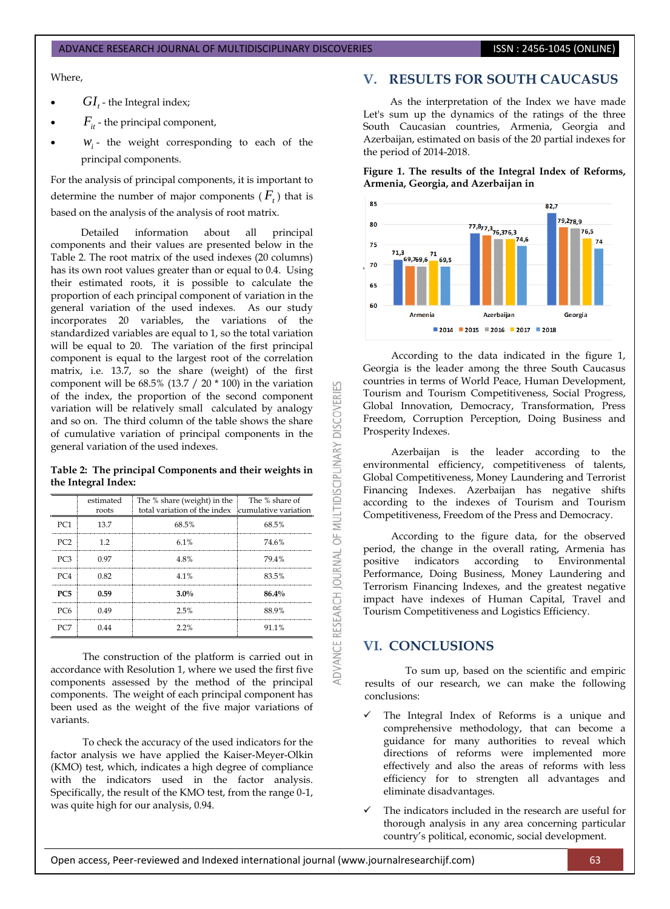#### ADVANCE RESEARCH JOURNAL OF MULTIDISCIPLINARY DISCOVERIES **ISSN : 2456-1045 (ONLINE)**

Where,

- $GI_t$  the Integral index;
- $F_{it}$  the principal component,
- $W_i$  the weight corresponding to each of the principal components.

For the analysis of principal components, it is important to determine the number of major components  $(F_t)$  that is based on the analysis of the analysis of root matrix.

Detailed information about all principal components and their values are presented below in the Table 2. The root matrix of the used indexes (20 columns) has its own root values greater than or equal to 0.4. Using their estimated roots, it is possible to calculate the proportion of each principal component of variation in the general variation of the used indexes. As our study incorporates 20 variables, the variations of the standardized variables are equal to 1, so the total variation will be equal to 20. The variation of the first principal component is equal to the largest root of the correlation matrix, i.e. 13.7, so the share (weight) of the first component will be  $68.5\%$  (13.7 / 20  $*$  100) in the variation of the index, the proportion of the second component variation will be relatively small calculated by analogy and so on. The third column of the table shows the share of cumulative variation of principal components in the general variation of the used indexes.

#### **Table 2: The principal Components and their weights in the Integral Index:**

|            | estimated<br>roots | The % share (weight) in the<br>total variation of the index cumulative variation | The % share of |
|------------|--------------------|----------------------------------------------------------------------------------|----------------|
| PC1        | 13.7               | 68.5%                                                                            | 68.5%          |
| PC '7      | 19                 | 6.1%                                                                             | 74.6%          |
|            | 0.97               | 48%                                                                              | 79.4%          |
| PC4        | 0.82               | 4.1%                                                                             | 83.5%          |
| <b>PC5</b> | 0.59               | $3.0\%$                                                                          | 86.4%          |
| PC6        | በ 49               | 2.5%                                                                             | 88.9%          |
|            |                    | 2.2%                                                                             | 91.1%          |

The construction of the platform is carried out in accordance with Resolution 1, where we used the first five components assessed by the method of the principal components. The weight of each principal component has been used as the weight of the five major variations of variants.

To check the accuracy of the used indicators for the factor analysis we have applied the Kaiser-Meyer-Olkin (KMO) test, which, indicates a high degree of compliance with the indicators used in the factor analysis. Specifically, the result of the KMO test, from the range 0-1, was quite high for our analysis, 0.94.

# **V. RESULTS FOR SOUTH CAUCASUS**

As the interpretation of the Index we have made Let's sum up the dynamics of the ratings of the three South Caucasian countries, Armenia, Georgia and Azerbaijan, estimated on basis of the 20 partial indexes for the period of 2014-2018.

**Figure 1. The results of the Integral Index of Reforms, Armenia, Georgia, and Azerbaijan in**



According to the data indicated in the figure 1, Georgia is the leader among the three South Caucasus countries in terms of World Peace, Human Development, Tourism and Tourism Competitiveness, Social Progress, Global Innovation, Democracy, Transformation, Press Freedom, Corruption Perception, Doing Business and Prosperity Indexes.

Azerbaijan is the leader according to the environmental efficiency, competitiveness of talents, Global Competitiveness, Money Laundering and Terrorist Financing Indexes. Azerbaijan has negative shifts according to the indexes of Tourism and Tourism Competitiveness, Freedom of the Press and Democracy.

According to the figure data, for the observed period, the change in the overall rating, Armenia has positive indicators according to Environmental Performance, Doing Business, Money Laundering and Terrorism Financing Indexes, and the greatest negative impact have indexes of Human Capital, Travel and Tourism Competitiveness and Logistics Efficiency.

## **VI. CONCLUSIONS**

53

**DISCOVERI** 

ADVANCE RESEARCH JOURNAL OF MULTIDISCIPLINARY

To sum up, based on the scientific and empiric results of our research, we can make the following conclusions:

- The Integral Index of Reforms is a unique and comprehensive methodology, that can become a guidance for many authorities to reveal which directions of reforms were implemented more effectively and also the areas of reforms with less efficiency for to strengten all advantages and eliminate disadvantages.
- The indicators included in the research are useful for thorough analysis in any area concerning particular country's political, economic, social development.